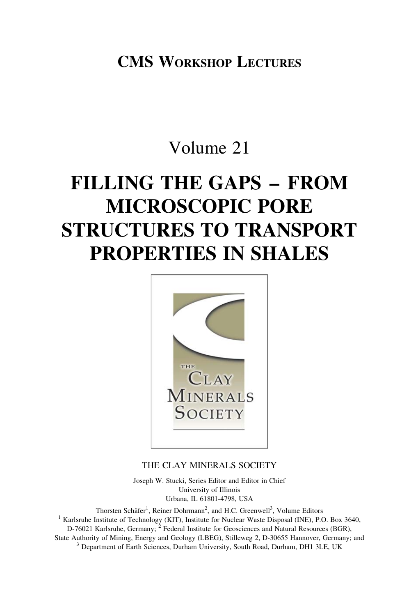CMS WORKSHOP LECTURES

# Volume 21

# FILLING THE GAPS – FROM MICROSCOPIC PORE STRUCTURES TO TRANSPORT PROPERTIES IN SHALES



# THE CLAY MINERALS SOCIETY

Joseph W. Stucki, Series Editor and Editor in Chief University of Illinois Urbana, IL 61801-4798, USA

Thorsten Schäfer<sup>1</sup>, Reiner Dohrmann<sup>2</sup>, and H.C. Greenwell<sup>3</sup>  $<sup>1</sup>$  Karlsruhe Institute of Technology (KIT), Institute for Nuclear Waste Disposal (INE), P.O. Box 3640,</sup> D-76021 Karlsruhe, Germany; <sup>2</sup> Federal Institute for Geosciences and Natural Resources (BGR), State Authority of Mining, Energy and Geology (LBEG), Stilleweg 2, D-30655 Hannover, Germany; and <sup>3</sup> Department of Earth Sciences, Durham University, South Road, Durham, DH1 3LE, UK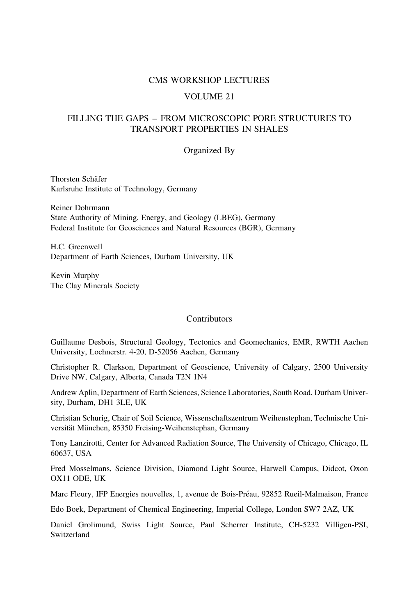#### CMS WORKSHOP LECTURES

#### VOLUME 21

## FILLING THE GAPS – FROM MICROSCOPIC PORE STRUCTURES TO TRANSPORT PROPERTIES IN SHALES

#### Organized By

Thorsten Schäfer Karlsruhe Institute of Technology, Germany

Reiner Dohrmann State Authority of Mining, Energy, and Geology (LBEG), Germany Federal Institute for Geosciences and Natural Resources (BGR), Germany

H.C. Greenwell Department of Earth Sciences, Durham University, UK

Kevin Murphy The Clay Minerals Society

#### **Contributors**

Guillaume Desbois, Structural Geology, Tectonics and Geomechanics, EMR, RWTH Aachen University, Lochnerstr. 4-20, D-52056 Aachen, Germany

Christopher R. Clarkson, Department of Geoscience, University of Calgary, 2500 University Drive NW, Calgary, Alberta, Canada T2N 1N4

Andrew Aplin, Department of Earth Sciences, Science Laboratories, South Road, Durham University, Durham, DH1 3LE, UK

Christian Schurig, Chair of Soil Science, Wissenschaftszentrum Weihenstephan, Technische Universität München, 85350 Freising-Weihenstephan, Germany

Tony Lanzirotti, Center for Advanced Radiation Source, The University of Chicago, Chicago, IL 60637, USA

Fred Mosselmans, Science Division, Diamond Light Source, Harwell Campus, Didcot, Oxon OX11 ODE, UK

Marc Fleury, IFP Energies nouvelles, 1, avenue de Bois-Préau, 92852 Rueil-Malmaison, France

Edo Boek, Department of Chemical Engineering, Imperial College, London SW7 2AZ, UK

Daniel Grolimund, Swiss Light Source, Paul Scherrer Institute, CH-5232 Villigen-PSI, Switzerland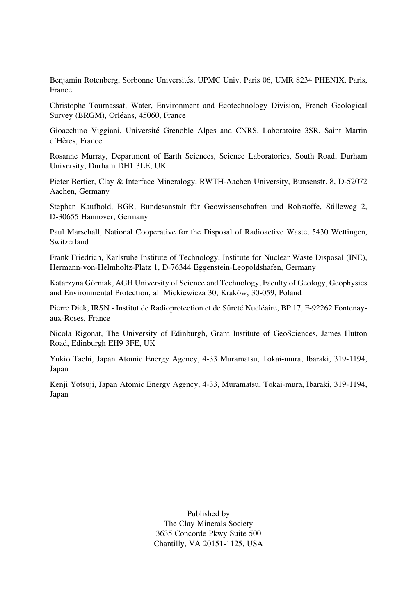Benjamin Rotenberg, Sorbonne Universités, UPMC Univ. Paris 06, UMR 8234 PHENIX, Paris, France

Christophe Tournassat, Water, Environment and Ecotechnology Division, French Geological Survey (BRGM), Orléans, 45060, France

Gioacchino Viggiani, Université Grenoble Alpes and CNRS, Laboratoire 3SR, Saint Martin d'Hères, France

Rosanne Murray, Department of Earth Sciences, Science Laboratories, South Road, Durham University, Durham DH1 3LE, UK

Pieter Bertier, Clay & Interface Mineralogy, RWTH-Aachen University, Bunsenstr. 8, D-52072 Aachen, Germany

Stephan Kaufhold, BGR, Bundesanstalt für Geowissenschaften und Rohstoffe, Stilleweg 2, D-30655 Hannover, Germany

Paul Marschall, National Cooperative for the Disposal of Radioactive Waste, 5430 Wettingen, Switzerland

Frank Friedrich, Karlsruhe Institute of Technology, Institute for Nuclear Waste Disposal (INE), Hermann-von-Helmholtz-Platz 1, D-76344 Eggenstein-Leopoldshafen, Germany

Katarzyna Górniak, AGH University of Science and Technology, Faculty of Geology, Geophysics and Environmental Protection, al. Mickiewicza 30, Kraków, 30-059, Poland

Pierre Dick, IRSN - Institut de Radioprotection et de Sûreté Nucléaire, BP 17, F-92262 Fontenayaux-Roses, France

Nicola Rigonat, The University of Edinburgh, Grant Institute of GeoSciences, James Hutton Road, Edinburgh EH9 3FE, UK

Yukio Tachi, Japan Atomic Energy Agency, 4-33 Muramatsu, Tokai-mura, Ibaraki, 319-1194, Japan

Kenji Yotsuji, Japan Atomic Energy Agency, 4-33, Muramatsu, Tokai-mura, Ibaraki, 319-1194, Japan

> Published by The Clay Minerals Society 3635 Concorde Pkwy Suite 500 Chantilly, VA 20151-1125, USA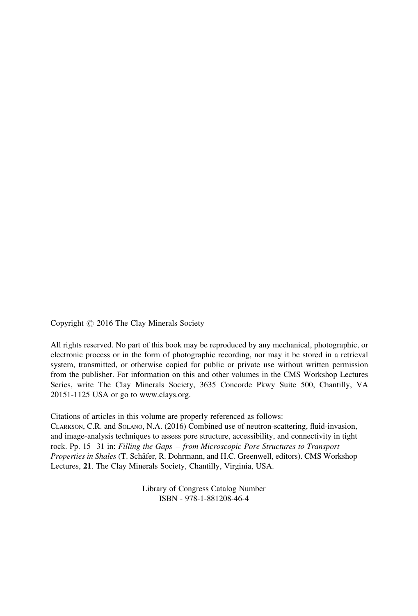Copyright  $\odot$  2016 The Clay Minerals Society

All rights reserved. No part of this book may be reproduced by any mechanical, photographic, or electronic process or in the form of photographic recording, nor may it be stored in a retrieval system, transmitted, or otherwise copied for public or private use without written permission from the publisher. For information on this and other volumes in the CMS Workshop Lectures Series, write The Clay Minerals Society, 3635 Concorde Pkwy Suite 500, Chantilly, VA 20151-1125 USA or go to www.clays.org.

Citations of articles in this volume are properly referenced as follows:

CLARKSON, C.R. and SOLANO, N.A. (2016) Combined use of neutron-scattering, fluid-invasion, and image-analysis techniques to assess pore structure, accessibility, and connectivity in tight rock. Pp. 15–31 in: Filling the Gaps – from Microscopic Pore Structures to Transport Properties in Shales (T. Schäfer, R. Dohrmann, and H.C. Greenwell, editors). CMS Workshop Lectures, 21. The Clay Minerals Society, Chantilly, Virginia, USA.

> Library of Congress Catalog Number ISBN - 978-1-881208-46-4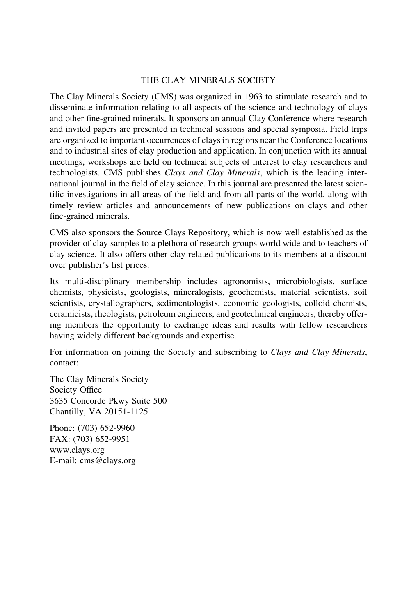#### THE CLAY MINERALS SOCIETY

The Clay Minerals Society (CMS) was organized in 1963 to stimulate research and to disseminate information relating to all aspects of the science and technology of clays and other fine-grained minerals. It sponsors an annual Clay Conference where research and invited papers are presented in technical sessions and special symposia. Field trips are organized to important occurrences of clays in regions near the Conference locations and to industrial sites of clay production and application. In conjunction with its annual meetings, workshops are held on technical subjects of interest to clay researchers and technologists. CMS publishes Clays and Clay Minerals, which is the leading international journal in the field of clay science. In this journal are presented the latest scientific investigations in all areas of the field and from all parts of the world, along with timely review articles and announcements of new publications on clays and other fine-grained minerals.

CMS also sponsors the Source Clays Repository, which is now well established as the provider of clay samples to a plethora of research groups world wide and to teachers of clay science. It also offers other clay-related publications to its members at a discount over publisher's list prices.

Its multi-disciplinary membership includes agronomists, microbiologists, surface chemists, physicists, geologists, mineralogists, geochemists, material scientists, soil scientists, crystallographers, sedimentologists, economic geologists, colloid chemists, ceramicists, rheologists, petroleum engineers, and geotechnical engineers, thereby offering members the opportunity to exchange ideas and results with fellow researchers having widely different backgrounds and expertise.

For information on joining the Society and subscribing to Clays and Clay Minerals, contact:

The Clay Minerals Society Society Office 3635 Concorde Pkwy Suite 500 Chantilly, VA 20151-1125

Phone: (703) 652-9960 FAX: (703) 652-9951 www.clays.org E-mail: cms@clays.org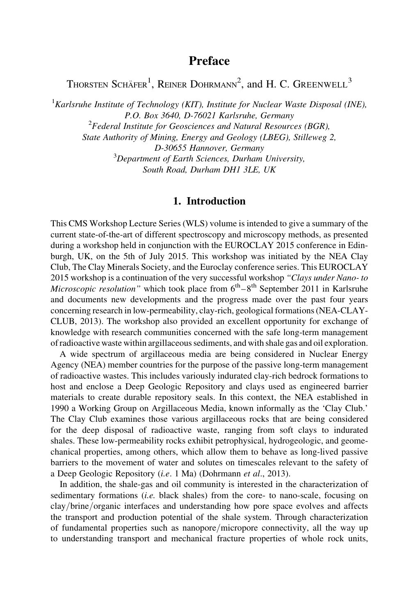# Preface

Thorsten Schäfer<sup>1</sup>, Reiner Dohrmann<sup>2</sup>, and H. C. Greenwell<sup>3</sup>

<sup>1</sup>Karlsruhe Institute of Technology (KIT), Institute for Nuclear Waste Disposal (INE), P.O. Box 3640, D-76021 Karlsruhe, Germany  $2$ Federal Institute for Geosciences and Natural Resources (BGR), State Authority of Mining, Energy and Geology (LBEG), Stilleweg 2, D-30655 Hannover, Germany  $3$ Department of Earth Sciences, Durham University, South Road, Durham DH1 3LE, UK

# 1. Introduction

This CMS Workshop Lecture Series (WLS) volume is intended to give a summary of the current state-of-the-art of different spectroscopy and microscopy methods, as presented during a workshop held in conjunction with the EUROCLAY 2015 conference in Edinburgh, UK, on the 5th of July 2015. This workshop was initiated by the NEA Clay Club, The Clay Minerals Society, and the Euroclay conference series. This EUROCLAY 2015 workshop is a continuation of the very successful workshop "Clays under Nano- to *Microscopic resolution*" which took place from  $6<sup>th</sup> - 8<sup>th</sup>$  September 2011 in Karlsruhe and documents new developments and the progress made over the past four years concerning research in low-permeability, clay-rich, geological formations (NEA-CLAY-CLUB, 2013). The workshop also provided an excellent opportunity for exchange of knowledge with research communities concerned with the safe long-term management of radioactive waste within argillaceous sediments, and with shale gas and oil exploration.

A wide spectrum of argillaceous media are being considered in Nuclear Energy Agency (NEA) member countries for the purpose of the passive long-term management of radioactive wastes. This includes variously indurated clay-rich bedrock formations to host and enclose a Deep Geologic Repository and clays used as engineered barrier materials to create durable repository seals. In this context, the NEA established in 1990 a Working Group on Argillaceous Media, known informally as the 'Clay Club.' The Clay Club examines those various argillaceous rocks that are being considered for the deep disposal of radioactive waste, ranging from soft clays to indurated shales. These low-permeability rocks exhibit petrophysical, hydrogeologic, and geomechanical properties, among others, which allow them to behave as long-lived passive barriers to the movement of water and solutes on timescales relevant to the safety of a Deep Geologic Repository (i.e. 1 Ma) (Dohrmann et al., 2013).

In addition, the shale-gas and oil community is interested in the characterization of sedimentary formations *(i.e.* black shales) from the core- to nano-scale, focusing on clay/brine/organic interfaces and understanding how pore space evolves and affects the transport and production potential of the shale system. Through characterization of fundamental properties such as nanopore/micropore connectivity, all the way up to understanding transport and mechanical fracture properties of whole rock units,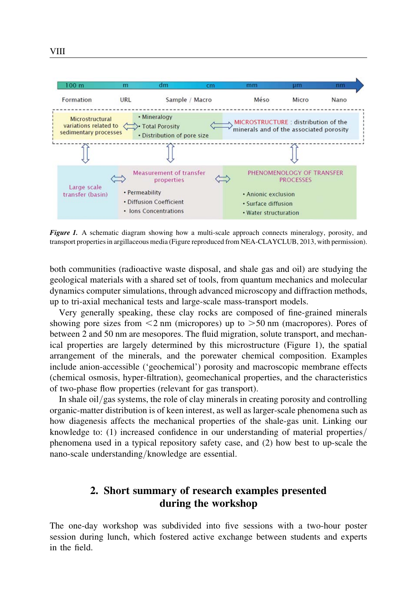

Figure 1. A schematic diagram showing how a multi-scale approach connects mineralogy, porosity, and transport properties in argillaceous media (Figure reproduced from NEA-CLAYCLUB, 2013, with permission).

both communities (radioactive waste disposal, and shale gas and oil) are studying the geological materials with a shared set of tools, from quantum mechanics and molecular dynamics computer simulations, through advanced microscopy and diffraction methods, up to tri-axial mechanical tests and large-scale mass-transport models.

Very generally speaking, these clay rocks are composed of fine-grained minerals showing pore sizes from  $\leq$  nm (micropores) up to  $\geq$  50 nm (macropores). Pores of between 2 and 50 nm are mesopores. The fluid migration, solute transport, and mechanical properties are largely determined by this microstructure (Figure 1), the spatial arrangement of the minerals, and the porewater chemical composition. Examples include anion-accessible ('geochemical') porosity and macroscopic membrane effects (chemical osmosis, hyper-filtration), geomechanical properties, and the characteristics of two-phase flow properties (relevant for gas transport).

In shale oil/gas systems, the role of clay minerals in creating porosity and controlling organic-matter distribution is of keen interest, as well as larger-scale phenomena such as how diagenesis affects the mechanical properties of the shale-gas unit. Linking our knowledge to: (1) increased confidence in our understanding of material properties/ phenomena used in a typical repository safety case, and (2) how best to up-scale the nano-scale understanding/knowledge are essential.

# 2. Short summary of research examples presented during the workshop

The one-day workshop was subdivided into five sessions with a two-hour poster session during lunch, which fostered active exchange between students and experts in the field.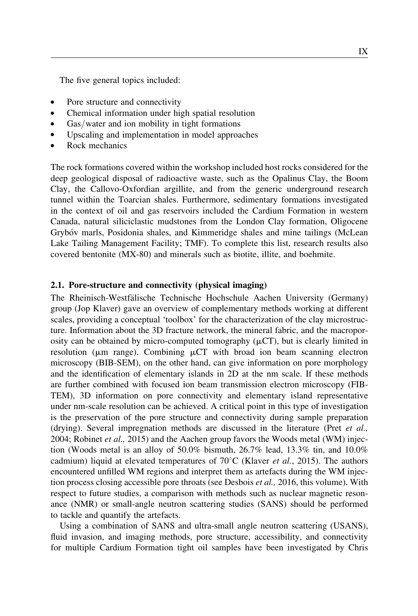The five general topics included:

- . Pore structure and connectivity
- . Chemical information under high spatial resolution
- Gas/water and ion mobility in tight formations
- . Upscaling and implementation in model approaches
- . Rock mechanics

The rock formations covered within the workshop included host rocks considered for the deep geological disposal of radioactive waste, such as the Opalinus Clay, the Boom Clay, the Callovo-Oxfordian argillite, and from the generic underground research tunnel within the Toarcian shales. Furthermore, sedimentary formations investigated in the context of oil and gas reservoirs included the Cardium Formation in western Canada, natural siliciclastic mudstones from the London Clay formation, Oligocene Grybóy marls, Posidonia shales, and Kimmeridge shales and mine tailings (McLean Lake Tailing Management Facility; TMF). To complete this list, research results also covered bentonite (MX-80) and minerals such as biotite, illite, and boehmite.

#### 2.1. Pore-structure and connectivity (physical imaging)

The Rheinisch-Westfälische Technische Hochschule Aachen University (Germany) group (Jop Klaver) gave an overview of complementary methods working at different scales, providing a conceptual 'toolbox' for the characterization of the clay microstructure. Information about the 3D fracture network, the mineral fabric, and the macroporosity can be obtained by micro-computed tomography  $(\mu$ CT), but is clearly limited in resolution ( $\mu$ m range). Combining  $\mu$ CT with broad ion beam scanning electron microscopy (BIB-SEM), on the other hand, can give information on pore morphology and the identification of elementary islands in 2D at the nm scale. If these methods are further combined with focused ion beam transmission electron microscopy (FIB-TEM), 3D information on pore connectivity and elementary island representative under nm-scale resolution can be achieved. A critical point in this type of investigation is the preservation of the pore structure and connectivity during sample preparation (drying). Several impregnation methods are discussed in the literature (Pret  $et$   $al$ , 2004; Robinet *et al.*, 2015) and the Aachen group favors the Woods metal (WM) injection (Woods metal is an alloy of 50.0% bismuth, 26.7% lead, 13.3% tin, and 10.0% cadmium) liquid at elevated temperatures of  $70^{\circ}$ C (Klaver *et al.*, 2015). The authors encountered unfilled WM regions and interpret them as artefacts during the WM injection process closing accessible pore throats (see Desbois *et al.*, 2016, this volume). With respect to future studies, a comparison with methods such as nuclear magnetic resonance (NMR) or small-angle neutron scattering studies (SANS) should be performed to tackle and quantify the artefacts.

Using a combination of SANS and ultra-small angle neutron scattering (USANS), fluid invasion, and imaging methods, pore structure, accessibility, and connectivity for multiple Cardium Formation tight oil samples have been investigated by Chris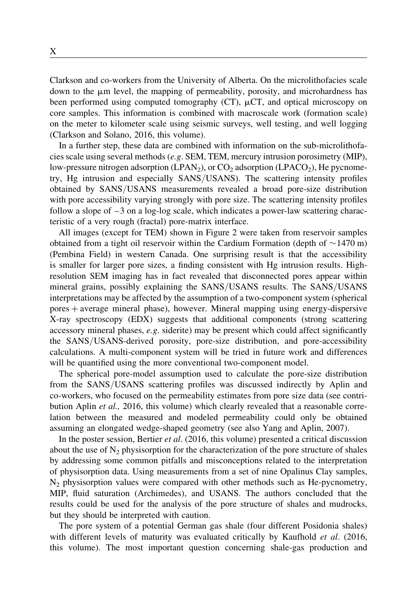Clarkson and co-workers from the University of Alberta. On the microlithofacies scale down to the  $\mu$ m level, the mapping of permeability, porosity, and microhardness has been performed using computed tomography (CT),  $\mu$ CT, and optical microscopy on core samples. This information is combined with macroscale work (formation scale) on the meter to kilometer scale using seismic surveys, well testing, and well logging (Clarkson and Solano, 2016, this volume).

In a further step, these data are combined with information on the sub-microlithofacies scale using several methods (e.g. SEM, TEM, mercury intrusion porosimetry (MIP), low-pressure nitrogen adsorption (LPAN<sub>2</sub>), or  $CO<sub>2</sub>$  adsorption (LPACO<sub>2</sub>), He pycnometry, Hg intrusion and especially SANS/USANS). The scattering intensity profiles obtained by SANS/USANS measurements revealed a broad pore-size distribution with pore accessibility varying strongly with pore size. The scattering intensity profiles follow a slope of  $-3$  on a log-log scale, which indicates a power-law scattering characteristic of a very rough (fractal) pore-matrix interface.

All images (except for TEM) shown in Figure 2 were taken from reservoir samples obtained from a tight oil reservoir within the Cardium Formation (depth of  $\sim$  1470 m) (Pembina Field) in western Canada. One surprising result is that the accessibility is smaller for larger pore sizes, a finding consistent with Hg intrusion results. Highresolution SEM imaging has in fact revealed that disconnected pores appear within mineral grains, possibly explaining the SANS/USANS results. The SANS/USANS interpretations may be affected by the assumption of a two-component system (spherical pores þ average mineral phase), however. Mineral mapping using energy-dispersive X-ray spectroscopy (EDX) suggests that additional components (strong scattering accessory mineral phases, e.g. siderite) may be present which could affect significantly the SANS/USANS-derived porosity, pore-size distribution, and pore-accessibility calculations. A multi-component system will be tried in future work and differences will be quantified using the more conventional two-component model.

The spherical pore-model assumption used to calculate the pore-size distribution from the SANS/USANS scattering profiles was discussed indirectly by Aplin and co-workers, who focused on the permeability estimates from pore size data (see contribution Aplin et al., 2016, this volume) which clearly revealed that a reasonable correlation between the measured and modeled permeability could only be obtained assuming an elongated wedge-shaped geometry (see also Yang and Aplin, 2007).

In the poster session, Bertier et al. (2016, this volume) presented a critical discussion about the use of  $N_2$  physisorption for the characterization of the pore structure of shales by addressing some common pitfalls and misconceptions related to the interpretation of physisorption data. Using measurements from a set of nine Opalinus Clay samples,  $N_2$  physisorption values were compared with other methods such as He-pycnometry, MIP, fluid saturation (Archimedes), and USANS. The authors concluded that the results could be used for the analysis of the pore structure of shales and mudrocks, but they should be interpreted with caution.

The pore system of a potential German gas shale (four different Posidonia shales) with different levels of maturity was evaluated critically by Kaufhold et al. (2016, this volume). The most important question concerning shale-gas production and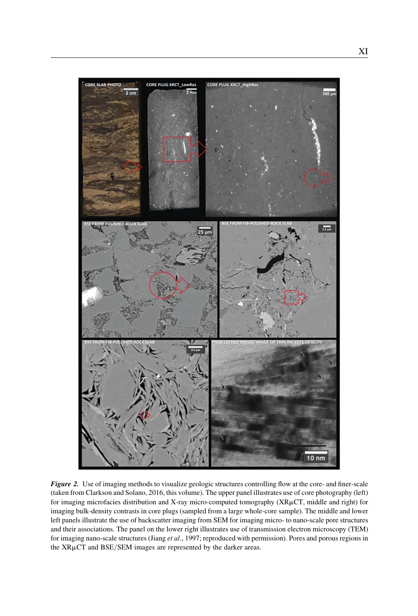

Figure 2. Use of imaging methods to visualize geologic structures controlling flow at the core- and finer-scale (taken from Clarkson and Solano, 2016, this volume). The upper panel illustrates use of core photography (left) for imaging microfacies distribution and X-ray micro-computed tomography (XRµCT, middle and right) for imaging bulk-density contrasts in core plugs (sampled from a large whole-core sample). The middle and lower left panels illustrate the use of backscatter imaging from SEM for imaging micro- to nano-scale pore structures and their associations. The panel on the lower right illustrates use of transmission electron microscopy (TEM) for imaging nano-scale structures (Jiang et al., 1997; reproduced with permission). Pores and porous regions in the XRµCT and BSE/SEM images are represented by the darker areas.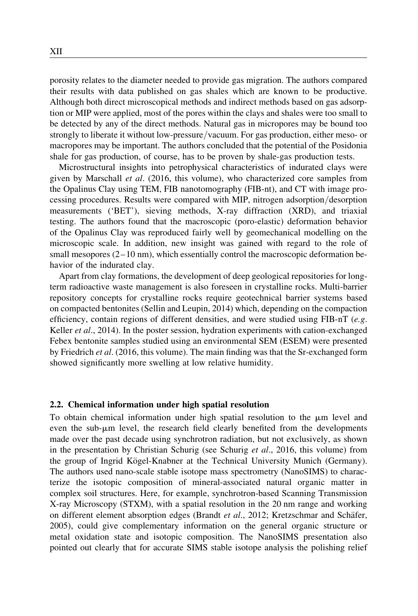porosity relates to the diameter needed to provide gas migration. The authors compared their results with data published on gas shales which are known to be productive. Although both direct microscopical methods and indirect methods based on gas adsorption or MIP were applied, most of the pores within the clays and shales were too small to be detected by any of the direct methods. Natural gas in micropores may be bound too strongly to liberate it without low-pressure/vacuum. For gas production, either meso- or macropores may be important. The authors concluded that the potential of the Posidonia shale for gas production, of course, has to be proven by shale-gas production tests.

Microstructural insights into petrophysical characteristics of indurated clays were given by Marschall et al. (2016, this volume), who characterized core samples from the Opalinus Clay using TEM, FIB nanotomography (FIB-nt), and CT with image processing procedures. Results were compared with MIP, nitrogen adsorption/desorption measurements ('BET'), sieving methods, X-ray diffraction (XRD), and triaxial testing. The authors found that the macroscopic (poro-elastic) deformation behavior of the Opalinus Clay was reproduced fairly well by geomechanical modelling on the microscopic scale. In addition, new insight was gained with regard to the role of small mesopores  $(2-10 \text{ nm})$ , which essentially control the macroscopic deformation behavior of the indurated clay.

Apart from clay formations, the development of deep geological repositories for longterm radioactive waste management is also foreseen in crystalline rocks. Multi-barrier repository concepts for crystalline rocks require geotechnical barrier systems based on compacted bentonites (Sellin and Leupin, 2014) which, depending on the compaction efficiency, contain regions of different densities, and were studied using  $FIB-nT$  (e.g. Keller  $et al., 2014$ ). In the poster session, hydration experiments with cation-exchanged Febex bentonite samples studied using an environmental SEM (ESEM) were presented by Friedrich et al. (2016, this volume). The main finding was that the Sr-exchanged form showed significantly more swelling at low relative humidity.

#### 2.2. Chemical information under high spatial resolution

To obtain chemical information under high spatial resolution to the  $\mu$ m level and even the sub-µm level, the research field clearly benefited from the developments made over the past decade using synchrotron radiation, but not exclusively, as shown in the presentation by Christian Schurig (see Schurig *et al.*, 2016, this volume) from the group of Ingrid Kögel-Knabner at the Technical University Munich (Germany). The authors used nano-scale stable isotope mass spectrometry (NanoSIMS) to characterize the isotopic composition of mineral-associated natural organic matter in complex soil structures. Here, for example, synchrotron-based Scanning Transmission X-ray Microscopy (STXM), with a spatial resolution in the 20 nm range and working on different element absorption edges (Brandt et al., 2012; Kretzschmar and Schäfer, 2005), could give complementary information on the general organic structure or metal oxidation state and isotopic composition. The NanoSIMS presentation also pointed out clearly that for accurate SIMS stable isotope analysis the polishing relief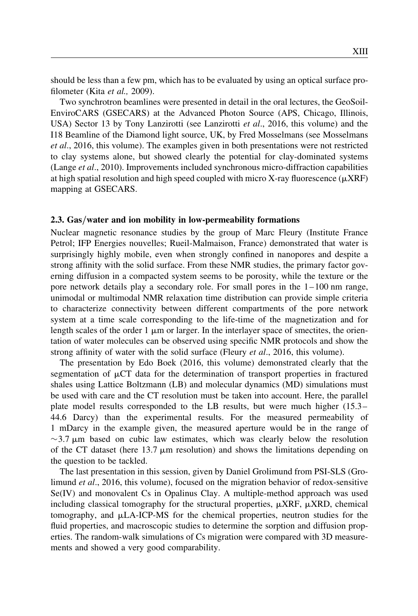should be less than a few pm, which has to be evaluated by using an optical surface profilometer (Kita et al., 2009).

Two synchrotron beamlines were presented in detail in the oral lectures, the GeoSoil-EnviroCARS (GSECARS) at the Advanced Photon Source (APS, Chicago, Illinois, USA) Sector 13 by Tony Lanzirotti (see Lanzirotti  $et al., 2016$ , this volume) and the I18 Beamline of the Diamond light source, UK, by Fred Mosselmans (see Mosselmans et al., 2016, this volume). The examples given in both presentations were not restricted to clay systems alone, but showed clearly the potential for clay-dominated systems (Lange et al., 2010). Improvements included synchronous micro-diffraction capabilities at high spatial resolution and high speed coupled with micro X-ray fluorescence  $(\mu XRF)$ mapping at GSECARS.

#### 2.3. Gas/water and ion mobility in low-permeability formations

Nuclear magnetic resonance studies by the group of Marc Fleury (Institute France Petrol; IFP Energies nouvelles; Rueil-Malmaison, France) demonstrated that water is surprisingly highly mobile, even when strongly confined in nanopores and despite a strong affinity with the solid surface. From these NMR studies, the primary factor governing diffusion in a compacted system seems to be porosity, while the texture or the pore network details play a secondary role. For small pores in the  $1-100$  nm range, unimodal or multimodal NMR relaxation time distribution can provide simple criteria to characterize connectivity between different compartments of the pore network system at a time scale corresponding to the life-time of the magnetization and for length scales of the order 1  $\mu$ m or larger. In the interlayer space of smectites, the orientation of water molecules can be observed using specific NMR protocols and show the strong affinity of water with the solid surface (Fleury et al., 2016, this volume).

The presentation by Edo Boek (2016, this volume) demonstrated clearly that the segmentation of  $\mu$ CT data for the determination of transport properties in fractured shales using Lattice Boltzmann (LB) and molecular dynamics (MD) simulations must be used with care and the CT resolution must be taken into account. Here, the parallel plate model results corresponded to the LB results, but were much higher (15.3– 44.6 Darcy) than the experimental results. For the measured permeability of 1 mDarcy in the example given, the measured aperture would be in the range of  $\sim$ 3.7  $\mu$ m based on cubic law estimates, which was clearly below the resolution of the CT dataset (here  $13.7 \mu m$  resolution) and shows the limitations depending on the question to be tackled.

The last presentation in this session, given by Daniel Grolimund from PSI-SLS (Grolimund et al., 2016, this volume), focused on the migration behavior of redox-sensitive Se(IV) and monovalent Cs in Opalinus Clay. A multiple-method approach was used including classical tomography for the structural properties,  $\mu$ XRF,  $\mu$ XRD, chemical tomography, and  $\mu$ LA-ICP-MS for the chemical properties, neutron studies for the fluid properties, and macroscopic studies to determine the sorption and diffusion properties. The random-walk simulations of Cs migration were compared with 3D measurements and showed a very good comparability.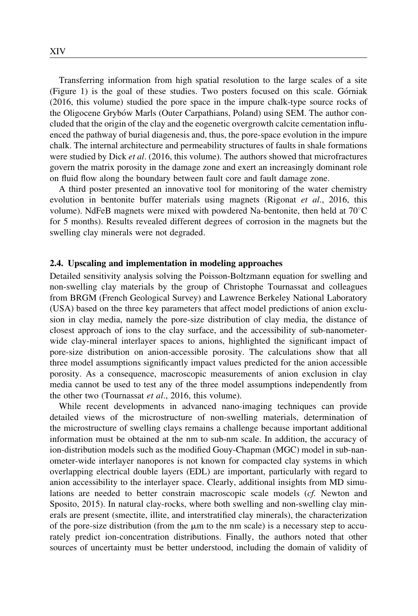Transferring information from high spatial resolution to the large scales of a site  $(Figure 1)$  is the goal of these studies. Two posters focused on this scale. Górniak (2016, this volume) studied the pore space in the impure chalk-type source rocks of the Oligocene Grybow Marls (Outer Carpathians, Poland) using SEM. The author concluded that the origin of the clay and the eogenetic overgrowth calcite cementation influenced the pathway of burial diagenesis and, thus, the pore-space evolution in the impure chalk. The internal architecture and permeability structures of faults in shale formations were studied by Dick *et al.* (2016, this volume). The authors showed that microfractures govern the matrix porosity in the damage zone and exert an increasingly dominant role on fluid flow along the boundary between fault core and fault damage zone.

A third poster presented an innovative tool for monitoring of the water chemistry evolution in bentonite buffer materials using magnets (Rigonat et al., 2016, this volume). NdFeB magnets were mixed with powdered Na-bentonite, then held at  $70^{\circ}$ C for 5 months). Results revealed different degrees of corrosion in the magnets but the swelling clay minerals were not degraded.

#### 2.4. Upscaling and implementation in modeling approaches

Detailed sensitivity analysis solving the Poisson-Boltzmann equation for swelling and non-swelling clay materials by the group of Christophe Tournassat and colleagues from BRGM (French Geological Survey) and Lawrence Berkeley National Laboratory (USA) based on the three key parameters that affect model predictions of anion exclusion in clay media, namely the pore-size distribution of clay media, the distance of closest approach of ions to the clay surface, and the accessibility of sub-nanometerwide clay-mineral interlayer spaces to anions, highlighted the significant impact of pore-size distribution on anion-accessible porosity. The calculations show that all three model assumptions significantly impact values predicted for the anion accessible porosity. As a consequence, macroscopic measurements of anion exclusion in clay media cannot be used to test any of the three model assumptions independently from the other two (Tournassat *et al.*, 2016, this volume).

While recent developments in advanced nano-imaging techniques can provide detailed views of the microstructure of non-swelling materials, determination of the microstructure of swelling clays remains a challenge because important additional information must be obtained at the nm to sub-nm scale. In addition, the accuracy of ion-distribution models such as the modified Gouy-Chapman (MGC) model in sub-nanometer-wide interlayer nanopores is not known for compacted clay systems in which overlapping electrical double layers (EDL) are important, particularly with regard to anion accessibility to the interlayer space. Clearly, additional insights from MD simulations are needed to better constrain macroscopic scale models (cf. Newton and Sposito, 2015). In natural clay-rocks, where both swelling and non-swelling clay minerals are present (smectite, illite, and interstratified clay minerals), the characterization of the pore-size distribution (from the  $\mu$ m to the nm scale) is a necessary step to accurately predict ion-concentration distributions. Finally, the authors noted that other sources of uncertainty must be better understood, including the domain of validity of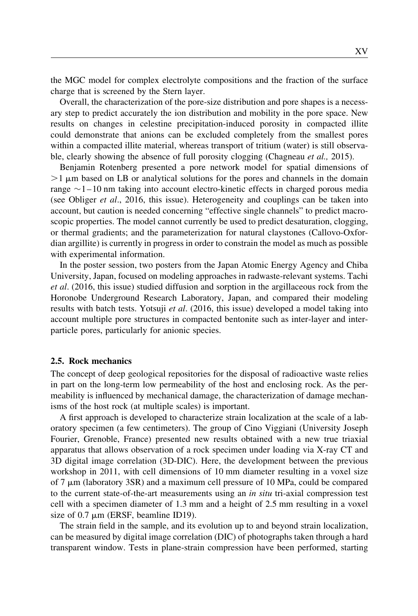the MGC model for complex electrolyte compositions and the fraction of the surface charge that is screened by the Stern layer.

Overall, the characterization of the pore-size distribution and pore shapes is a necessary step to predict accurately the ion distribution and mobility in the pore space. New results on changes in celestine precipitation-induced porosity in compacted illite could demonstrate that anions can be excluded completely from the smallest pores within a compacted illite material, whereas transport of tritium (water) is still observable, clearly showing the absence of full porosity clogging (Chagneau *et al.*, 2015).

Benjamin Rotenberg presented a pore network model for spatial dimensions of  $>1 \mu$ m based on LB or analytical solutions for the pores and channels in the domain range  $\sim$  1–10 nm taking into account electro-kinetic effects in charged porous media (see Obliger et al., 2016, this issue). Heterogeneity and couplings can be taken into account, but caution is needed concerning "effective single channels" to predict macroscopic properties. The model cannot currently be used to predict desaturation, clogging, or thermal gradients; and the parameterization for natural claystones (Callovo-Oxfordian argillite) is currently in progress in order to constrain the model as much as possible with experimental information.

In the poster session, two posters from the Japan Atomic Energy Agency and Chiba University, Japan, focused on modeling approaches in radwaste-relevant systems. Tachi et al. (2016, this issue) studied diffusion and sorption in the argillaceous rock from the Horonobe Underground Research Laboratory, Japan, and compared their modeling results with batch tests. Yotsuji *et al.* (2016, this issue) developed a model taking into account multiple pore structures in compacted bentonite such as inter-layer and interparticle pores, particularly for anionic species.

#### 2.5. Rock mechanics

The concept of deep geological repositories for the disposal of radioactive waste relies in part on the long-term low permeability of the host and enclosing rock. As the permeability is influenced by mechanical damage, the characterization of damage mechanisms of the host rock (at multiple scales) is important.

A first approach is developed to characterize strain localization at the scale of a laboratory specimen (a few centimeters). The group of Cino Viggiani (University Joseph Fourier, Grenoble, France) presented new results obtained with a new true triaxial apparatus that allows observation of a rock specimen under loading via X-ray CT and 3D digital image correlation (3D-DIC). Here, the development between the previous workshop in 2011, with cell dimensions of 10 mm diameter resulting in a voxel size of 7  $\mu$ m (laboratory 3SR) and a maximum cell pressure of 10 MPa, could be compared to the current state-of-the-art measurements using an *in situ* tri-axial compression test cell with a specimen diameter of 1.3 mm and a height of 2.5 mm resulting in a voxel size of  $0.7 \mu m$  (ERSF, beamline ID19).

The strain field in the sample, and its evolution up to and beyond strain localization, can be measured by digital image correlation (DIC) of photographs taken through a hard transparent window. Tests in plane-strain compression have been performed, starting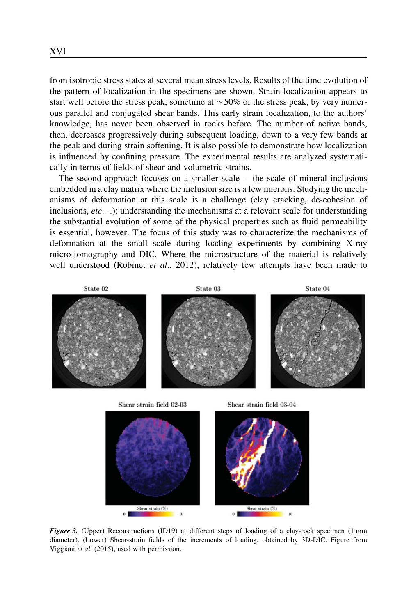from isotropic stress states at several mean stress levels. Results of the time evolution of the pattern of localization in the specimens are shown. Strain localization appears to start well before the stress peak, sometime at  $\sim$  50% of the stress peak, by very numerous parallel and conjugated shear bands. This early strain localization, to the authors' knowledge, has never been observed in rocks before. The number of active bands, then, decreases progressively during subsequent loading, down to a very few bands at the peak and during strain softening. It is also possible to demonstrate how localization is influenced by confining pressure. The experimental results are analyzed systematically in terms of fields of shear and volumetric strains.

The second approach focuses on a smaller scale – the scale of mineral inclusions embedded in a clay matrix where the inclusion size is a few microns. Studying the mechanisms of deformation at this scale is a challenge (clay cracking, de-cohesion of inclusions,  $etc.$ ...); understanding the mechanisms at a relevant scale for understanding the substantial evolution of some of the physical properties such as fluid permeability is essential, however. The focus of this study was to characterize the mechanisms of deformation at the small scale during loading experiments by combining X-ray micro-tomography and DIC. Where the microstructure of the material is relatively well understood (Robinet et al., 2012), relatively few attempts have been made to



Shear strain (%)  $0<sup>1</sup>$ 



 $\overline{3}$ 

Shear strain (%)

 $10$ 

 $0<sup>1</sup>$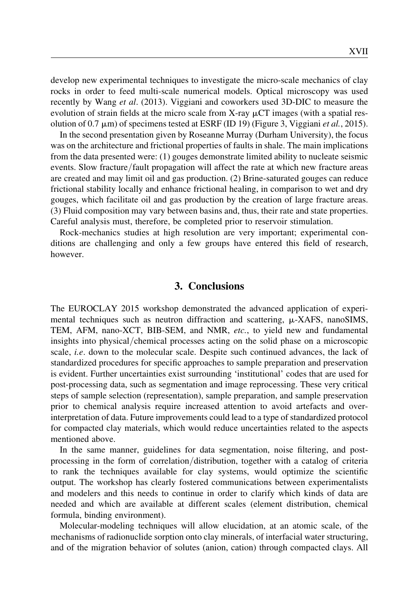XVII

develop new experimental techniques to investigate the micro-scale mechanics of clay rocks in order to feed multi-scale numerical models. Optical microscopy was used recently by Wang et al. (2013). Viggiani and coworkers used 3D-DIC to measure the evolution of strain fields at the micro scale from X-ray  $\mu$ CT images (with a spatial resolution of 0.7  $\mu$ m) of specimens tested at ESRF (ID 19) (Figure 3, Viggiani *et al.*, 2015).

In the second presentation given by Roseanne Murray (Durham University), the focus was on the architecture and frictional properties of faults in shale. The main implications from the data presented were: (1) gouges demonstrate limited ability to nucleate seismic events. Slow fracture/fault propagation will affect the rate at which new fracture areas are created and may limit oil and gas production. (2) Brine-saturated gouges can reduce frictional stability locally and enhance frictional healing, in comparison to wet and dry gouges, which facilitate oil and gas production by the creation of large fracture areas. (3) Fluid composition may vary between basins and, thus, their rate and state properties. Careful analysis must, therefore, be completed prior to reservoir stimulation.

Rock-mechanics studies at high resolution are very important; experimental conditions are challenging and only a few groups have entered this field of research, however.

#### 3. Conclusions

The EUROCLAY 2015 workshop demonstrated the advanced application of experimental techniques such as neutron diffraction and scattering,  $\mu$ -XAFS, nanoSIMS, TEM, AFM, nano-XCT, BIB-SEM, and NMR, etc., to yield new and fundamental insights into physical/chemical processes acting on the solid phase on a microscopic scale, i.e. down to the molecular scale. Despite such continued advances, the lack of standardized procedures for specific approaches to sample preparation and preservation is evident. Further uncertainties exist surrounding 'institutional' codes that are used for post-processing data, such as segmentation and image reprocessing. These very critical steps of sample selection (representation), sample preparation, and sample preservation prior to chemical analysis require increased attention to avoid artefacts and overinterpretation of data. Future improvements could lead to a type of standardized protocol for compacted clay materials, which would reduce uncertainties related to the aspects mentioned above.

In the same manner, guidelines for data segmentation, noise filtering, and postprocessing in the form of correlation/distribution, together with a catalog of criteria to rank the techniques available for clay systems, would optimize the scientific output. The workshop has clearly fostered communications between experimentalists and modelers and this needs to continue in order to clarify which kinds of data are needed and which are available at different scales (element distribution, chemical formula, binding environment).

Molecular-modeling techniques will allow elucidation, at an atomic scale, of the mechanisms of radionuclide sorption onto clay minerals, of interfacial water structuring, and of the migration behavior of solutes (anion, cation) through compacted clays. All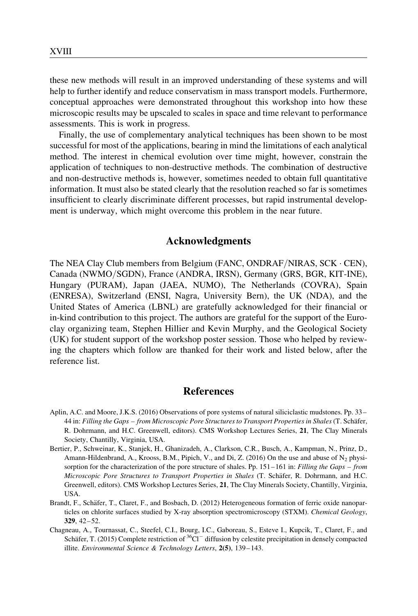these new methods will result in an improved understanding of these systems and will help to further identify and reduce conservatism in mass transport models. Furthermore, conceptual approaches were demonstrated throughout this workshop into how these microscopic results may be upscaled to scales in space and time relevant to performance assessments. This is work in progress.

Finally, the use of complementary analytical techniques has been shown to be most successful for most of the applications, bearing in mind the limitations of each analytical method. The interest in chemical evolution over time might, however, constrain the application of techniques to non-destructive methods. The combination of destructive and non-destructive methods is, however, sometimes needed to obtain full quantitative information. It must also be stated clearly that the resolution reached so far is sometimes insufficient to clearly discriminate different processes, but rapid instrumental development is underway, which might overcome this problem in the near future.

### Acknowledgments

The NEA Clay Club members from Belgium (FANC, ONDRAF/NIRAS, SCK . CEN), Canada (NWMO/SGDN), France (ANDRA, IRSN), Germany (GRS, BGR, KIT-INE), Hungary (PURAM), Japan (JAEA, NUMO), The Netherlands (COVRA), Spain (ENRESA), Switzerland (ENSI, Nagra, University Bern), the UK (NDA), and the United States of America (LBNL) are gratefully acknowledged for their financial or in-kind contribution to this project. The authors are grateful for the support of the Euroclay organizing team, Stephen Hillier and Kevin Murphy, and the Geological Society (UK) for student support of the workshop poster session. Those who helped by reviewing the chapters which follow are thanked for their work and listed below, after the reference list.

#### **References**

- Aplin, A.C. and Moore, J.K.S. (2016) Observations of pore systems of natural siliciclastic mudstones. Pp. 33– 44 in: Filling the Gaps – from Microscopic Pore Structures to Transport Properties in Shales (T. Schäfer, R. Dohrmann, and H.C. Greenwell, editors). CMS Workshop Lectures Series, 21, The Clay Minerals Society, Chantilly, Virginia, USA.
- Bertier, P., Schweinar, K., Stanjek, H., Ghanizadeh, A., Clarkson, C.R., Busch, A., Kampman, N., Prinz, D., Amann-Hildenbrand, A., Krooss, B.M., Pipich, V., and Di, Z. (2016) On the use and abuse of  $N_2$  physisorption for the characterization of the pore structure of shales. Pp. 151–161 in: Filling the Gaps – from Microscopic Pore Structures to Transport Properties in Shales (T. Schäfer, R. Dohrmann, and H.C. Greenwell, editors). CMS Workshop Lectures Series, 21, The Clay Minerals Society, Chantilly, Virginia, USA.
- Brandt, F., Schäfer, T., Claret, F., and Bosbach, D. (2012) Heterogeneous formation of ferric oxide nanoparticles on chlorite surfaces studied by X-ray absorption spectromicroscopy (STXM). Chemical Geology, 329, 42–52.
- Chagneau, A., Tournassat, C., Steefel, C.I., Bourg, I.C., Gaboreau, S., Esteve I., Kupcik, T., Claret, F., and Schäfer, T. (2015) Complete restriction of  ${}^{36}Cl^-$  diffusion by celestite precipitation in densely compacted illite. Environmental Science & Technology Letters, 2(5), 139–143.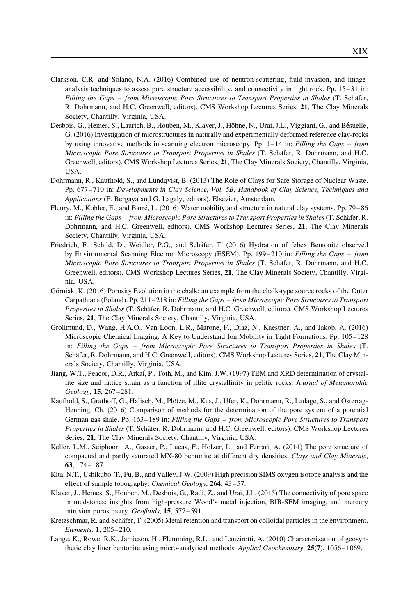- Clarkson, C.R. and Solano, N.A. (2016) Combined use of neutron-scattering, fluid-invasion, and imageanalysis techniques to assess pore structure accessibility, and connectivity in tight rock. Pp. 15–31 in: Filling the Gaps – from Microscopic Pore Structures to Transport Properties in Shales (T. Schäfer, R. Dohrmann, and H.C. Greenwell, editors). CMS Workshop Lectures Series, 21, The Clay Minerals Society, Chantilly, Virginia, USA.
- Desbois, G., Hemes, S., Laurich, B., Houben, M., Klaver, J., Höhne, N., Urai, J.L., Viggiani, G., and Bésuelle, G. (2016) Investigation of microstructures in naturally and experimentally deformed reference clay-rocks by using innovative methods in scanning electron microscopy. Pp.  $1-14$  in: Filling the Gaps – from Microscopic Pore Structures to Transport Properties in Shales (T. Schäfer, R. Dohrmann, and H.C. Greenwell, editors). CMS Workshop Lectures Series, 21, The Clay Minerals Society, Chantilly, Virginia, USA.
- Dohrmann, R., Kaufhold, S., and Lundqvist, B. (2013) The Role of Clays for Safe Storage of Nuclear Waste. Pp. 677–710 in: Developments in Clay Science, Vol. 5B, Handbook of Clay Science, Techniques and Applications (F. Bergaya and G. Lagaly, editors). Elsevier, Amsterdam.
- Fleury, M., Kohler, E., and Barré, L. (2016) Water mobility and structure in natural clay systems. Pp. 79–86 in: Filling the Gaps – from Microscopic Pore Structures to Transport Properties in Shales (T. Schäfer, R. Dohrmann, and H.C. Greenwell, editors). CMS Workshop Lectures Series, 21, The Clay Minerals Society, Chantilly, Virginia, USA.
- Friedrich, F., Schild, D., Weidler, P.G., and Schäfer. T. (2016) Hydration of febex Bentonite observed by Environmental Scanning Electron Microscopy (ESEM). Pp. 199–210 in: Filling the Gaps – from Microscopic Pore Structures to Transport Properties in Shales (T. Schäfer, R. Dohrmann, and H.C. Greenwell, editors). CMS Workshop Lectures Series, 21, The Clay Minerals Society, Chantilly, Virginia, USA.
- Górniak, K. (2016) Porosity Evolution in the chalk: an example from the chalk-type source rocks of the Outer Carpathians (Poland). Pp. 211–218 in: Filling the Gaps – from Microscopic Pore Structures to Transport Properties in Shales (T. Schäfer, R. Dohrmann, and H.C. Greenwell, editors). CMS Workshop Lectures Series, 21, The Clay Minerals Society, Chantilly, Virginia, USA.
- Grolimund, D., Wang, H.A.O., Van Loon, L.R., Marone, F., Diaz, N., Kaestner, A., and Jakob, A. (2016) Microscopic Chemical Imaging: A Key to Understand Ion Mobility in Tight Formations. Pp. 105–128 in: Filling the Gaps – from Microscopic Pore Structures to Transport Properties in Shales (T. Schäfer, R. Dohrmann, and H.C. Greenwell, editors). CMS Workshop Lectures Series, 21, The Clay Minerals Society, Chantilly, Virginia, USA.
- Jiang, W.T., Peacor, D.R., Arkaı´, P., Toth, M., and Kim, J.W. (1997) TEM and XRD determination of crystallite size and lattice strain as a function of illite crystallinity in pelitic rocks. Journal of Metamorphic Geology, 15, 267–281.
- Kaufhold, S., Grathoff, G., Halisch, M., Plötze, M., Kus, J., Ufer, K., Dohrmann, R., Ladage, S., and Ostertag-Henning, Ch. (2016) Comparison of methods for the determination of the pore system of a potential German gas shale. Pp. 163–189 in: Filling the Gaps – from Microscopic Pore Structures to Transport Properties in Shales (T. Schäfer, R. Dohrmann, and H.C. Greenwell, editors). CMS Workshop Lectures Series, 21, The Clay Minerals Society, Chantilly, Virginia, USA.
- Keller, L.M., Seiphoori, A., Gasser, P., Lucas, F., Holzer, L., and Ferrari, A. (2014) The pore structure of compacted and partly saturated MX-80 bentonite at different dry densities. Clays and Clay Minerals, 63, 174–187.
- Kita, N.T., Ushikubo, T., Fu, B., and Valley, J.W. (2009) High precision SIMS oxygen isotope analysis and the effect of sample topography. Chemical Geology, 264, 43–57.
- Klaver, J., Hemes, S., Houben, M., Desbois, G., Radi, Z., and Urai, J.L. (2015) The connectivity of pore space in mudstones: insights from high-pressure Wood's metal injection, BIB-SEM imaging, and mercury intrusion porosimetry. Geofluids, 15, 577–591.
- Kretzschmar, R. and Schäfer, T. (2005) Metal retention and transport on colloidal particles in the environment. Elements, 1, 205–210.
- Lange, K., Rowe, R.K., Jamieson, H., Flemming, R.L., and Lanzirotti, A. (2010) Characterization of geosynthetic clay liner bentonite using micro-analytical methods. Applied Geochemistry, 25(7), 1056–1069.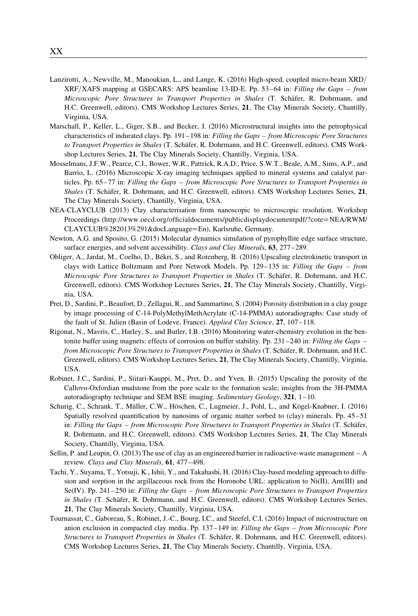- Lanzirotti, A., Newville, M., Manoukian, L., and Lange, K. (2016) High-speed, coupled micro-beam XRD/ XRF/XAFS mapping at GSECARS: APS beamline 13-ID-E. Pp. 53–64 in: Filling the Gaps – from Microscopic Pore Structures to Transport Properties in Shales (T. Schäfer, R. Dohrmann, and H.C. Greenwell, editors). CMS Workshop Lectures Series, 21, The Clay Minerals Society, Chantilly, Virginia, USA.
- Marschall, P., Keller, L., Giger, S.B., and Becker, J. (2016) Microstructural insights into the petrophysical characteristics of indurated clays. Pp. 191–198 in: Filling the Gaps – from Microscopic Pore Structures to Transport Properties in Shales (T. Schäfer, R. Dohrmann, and H.C. Greenwell, editors). CMS Workshop Lectures Series, 21, The Clay Minerals Society, Chantilly, Virginia, USA.
- Mosselmans, J.F.W., Pearce, C.I., Bower, W.R., Pattrick, R.A.D., Price, S.W.T., Beale, A.M., Sims, A.P., and Barrio, L. (2016) Microscopic X-ray imaging techniques applied to mineral systems and catalyst particles. Pp. 65–77 in: Filling the Gaps – from Microscopic Pore Structures to Transport Properties in Shales (T. Schäfer, R. Dohrmann, and H.C. Greenwell, editors). CMS Workshop Lectures Series, 21, The Clay Minerals Society, Chantilly, Virginia, USA.
- NEA-CLAYCLUB (2013) Clay characterisation from nanoscopic to microscopic resolution. Workshop Proceedings (http://www.oecd.org/officialdocuments/publicdisplaydocumentpdf/?cote=NEA/RWM/ CLAYCLUB%282013%291&docLanguage=En), Karlsruhe, Germany.
- Newton, A.G. and Sposito, G. (2015) Molecular dynamics simulation of pyrophyllite edge surface structure, surface energies, and solvent accessibility. Clays and Clay Minerals, 63, 277–289.
- Obliger, A., Jardat, M., Coelho, D., Be´kri, S., and Rotenberg, B. (2016) Upscaling electrokinetic transport in clays with Lattice Boltzmann and Pore Network Models. Pp. 129–135 in: Filling the Gaps – from Microscopic Pore Structures to Transport Properties in Shales (T. Schäfer, R. Dohrmann, and H.C. Greenwell, editors). CMS Workshop Lectures Series, 21, The Clay Minerals Society, Chantilly, Virginia, USA.
- Pret, D., Sardini, P., Beaufort, D., Zellagui, R., and Sammartino, S. (2004) Porosity distribution in a clay gouge by image processing of C-14-PolyMethylMethAcrylate (C-14-PMMA) autoradiographs: Case study of the fault of St. Julien (Basin of Lodeve, France). Applied Clay Science, 27, 107–118.
- Rigonat, N., Mavris, C., Harley, S., and Butler, I.B. (2016) Monitoring water-chemistry evolution in the bentonite buffer using magnets: effects of corrosion on buffer stability. Pp. 231–240 in: Filling the Gaps – from Microscopic Pore Structures to Transport Properties in Shales (T. Schäfer, R. Dohrmann, and H.C. Greenwell, editors). CMS Workshop Lectures Series, 21, The Clay Minerals Society, Chantilly, Virginia, USA.
- Robinet, J.C., Sardini, P., Siitari-Kauppi, M., Pret, D., and Yven, B. (2015) Upscaling the porosity of the Callovo-Oxfordian mudstone from the pore scale to the formation scale; insights from the 3H-PMMA autoradiography technique and SEM BSE imaging. Sedimentary Geology,  $321$ ,  $1-10$ .
- Schurig, C., Schrank, T., Müller, C.W., Höschen, C., Lugmeier, J., Pohl, L., and Kögel-Knabner, I. (2016) Spatially resolved quantification by nanosims of organic matter sorbed to (clay) minerals. Pp. 45–51 in: Filling the Gaps – from Microscopic Pore Structures to Transport Properties in Shales (T. Schäfer, R. Dohrmann, and H.C. Greenwell, editors). CMS Workshop Lectures Series, 21, The Clay Minerals Society, Chantilly, Virginia, USA.
- Sellin, P. and Leupin, O. (2013) The use of clay as an engineered barrier in radioactive-waste management A review. Clays and Clay Minerals, 61, 477–498.
- Tachi, Y., Suyama, T., Yotsuji, K., Ishii, Y., and Takahashi, H. (2016) Clay-based modeling approach to diffusion and sorption in the argillaceous rock from the Horonobe URL: application to Ni(II), Am(III) and Se(IV). Pp. 241–250 in: Filling the Gaps – from Microscopic Pore Structures to Transport Properties in Shales (T. Schäfer, R. Dohrmann, and H.C. Greenwell, editors). CMS Workshop Lectures Series, 21, The Clay Minerals Society, Chantilly, Virginia, USA.
- Tournassat, C., Gaboreau, S., Robinet, J.-C., Bourg, I.C., and Steefel, C.I. (2016) Impact of microstructure on anion exclusion in compacted clay media. Pp. 137–149 in: Filling the Gaps – from Microscopic Pore Structures to Transport Properties in Shales (T. Schäfer, R. Dohrmann, and H.C. Greenwell, editors). CMS Workshop Lectures Series, 21, The Clay Minerals Society, Chantilly, Virginia, USA.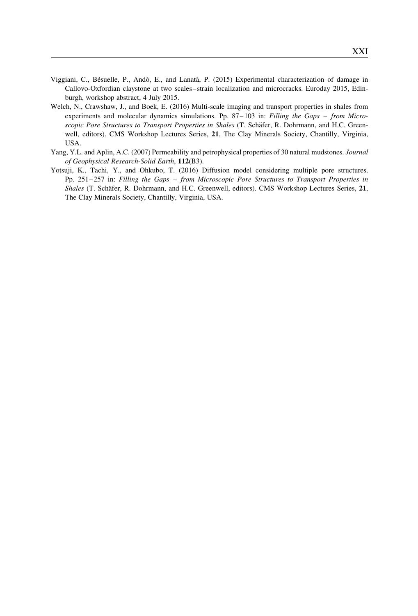- Viggiani, C., Bésuelle, P., Andò, E., and Lanatà, P. (2015) Experimental characterization of damage in Callovo-Oxfordian claystone at two scales–strain localization and microcracks. Euroday 2015, Edinburgh, workshop abstract, 4 July 2015.
- Welch, N., Crawshaw, J., and Boek, E. (2016) Multi-scale imaging and transport properties in shales from experiments and molecular dynamics simulations. Pp.  $87-103$  in: Filling the Gaps – from Microscopic Pore Structures to Transport Properties in Shales (T. Schäfer, R. Dohrmann, and H.C. Greenwell, editors). CMS Workshop Lectures Series, 21, The Clay Minerals Society, Chantilly, Virginia, USA.
- Yang, Y.L. and Aplin, A.C. (2007) Permeability and petrophysical properties of 30 natural mudstones. Journal of Geophysical Research-Solid Earth, 112(B3).
- Yotsuji, K., Tachi, Y., and Ohkubo, T. (2016) Diffusion model considering multiple pore structures. Pp. 251–257 in: Filling the Gaps – from Microscopic Pore Structures to Transport Properties in Shales (T. Schäfer, R. Dohrmann, and H.C. Greenwell, editors). CMS Workshop Lectures Series, 21, The Clay Minerals Society, Chantilly, Virginia, USA.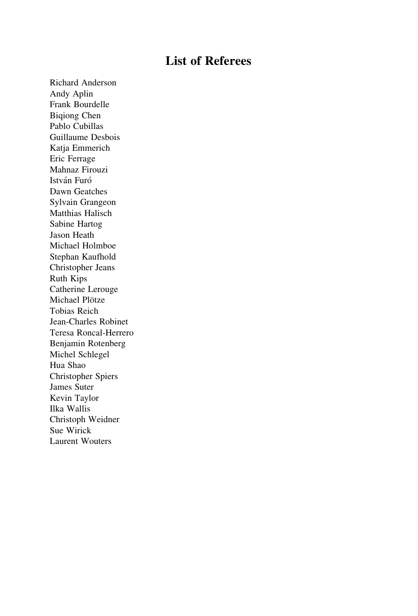# List of Referees

Richard Anderson Andy Aplin Frank Bourdelle Biqiong Chen Pablo Cubillas Guillaume Desbois Katja Emmerich Eric Ferrage Mahnaz Firouzi István Furó Dawn Geatches Sylvain Grangeon Matthias Halisch Sabine Hartog Jason Heath Michael Holmboe Stephan Kaufhold Christopher Jeans Ruth Kips Catherine Lerouge Michael Plötze Tobias Reich Jean-Charles Robinet Teresa Roncal-Herrero Benjamin Rotenberg Michel Schlegel Hua Shao Christopher Spiers James Suter Kevin Taylor Ilka Wallis Christoph Weidner Sue Wirick Laurent Wouters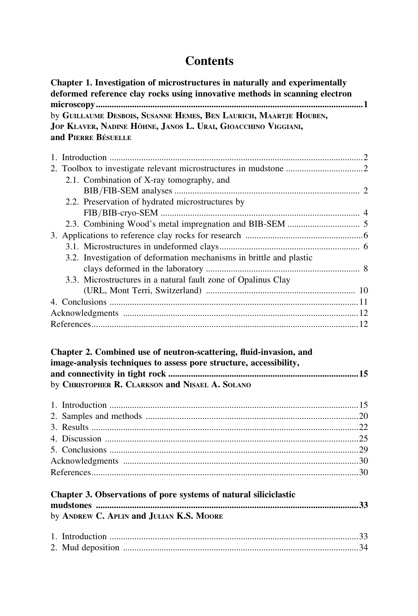# **Contents**

| Chapter 1. Investigation of microstructures in naturally and experimentally<br>deformed reference clay rocks using innovative methods in scanning electron |
|------------------------------------------------------------------------------------------------------------------------------------------------------------|
|                                                                                                                                                            |
| by GUILLAUME DESBOIS, SUSANNE HEMES, BEN LAURICH, MAARTJE HOUBEN,                                                                                          |
| JOP KLAVER, NADINE HÖHNE, JANOS L. URAI, GIOACCHINO VIGGIANI,                                                                                              |
| and PIERRE BÉSUELLE                                                                                                                                        |
|                                                                                                                                                            |
|                                                                                                                                                            |
|                                                                                                                                                            |
| 2.1. Combination of X-ray tomography, and                                                                                                                  |
|                                                                                                                                                            |
| 2.2. Preservation of hydrated microstructures by                                                                                                           |
|                                                                                                                                                            |
|                                                                                                                                                            |
|                                                                                                                                                            |
|                                                                                                                                                            |
| 3.2. Investigation of deformation mechanisms in brittle and plastic                                                                                        |
|                                                                                                                                                            |
| 3.3. Microstructures in a natural fault zone of Opalinus Clay                                                                                              |
|                                                                                                                                                            |
|                                                                                                                                                            |
|                                                                                                                                                            |
|                                                                                                                                                            |
| Chapter 2. Combined use of neutron-scattering, fluid-invasion, and<br>image-analysis techniques to assess pore structure, accessibility,                   |
| by CHRISTOPHER R. CLARKSON and NISAEL A. SOLANO                                                                                                            |
|                                                                                                                                                            |
|                                                                                                                                                            |
|                                                                                                                                                            |
|                                                                                                                                                            |
|                                                                                                                                                            |
|                                                                                                                                                            |
|                                                                                                                                                            |
| Chapter 3. Observations of pore systems of natural siliciclastic                                                                                           |
|                                                                                                                                                            |
| by ANDREW C. APLIN and JULIAN K.S. MOORE                                                                                                                   |
|                                                                                                                                                            |
|                                                                                                                                                            |
|                                                                                                                                                            |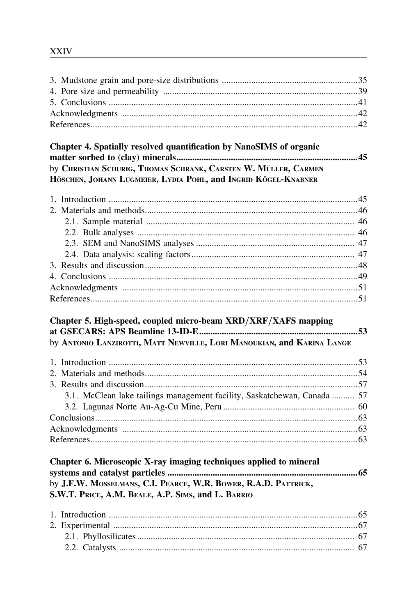# Chapter 4. Spatially resolved quantification by NanoSIMS of organic by CHRISTIAN SCHURIG, THOMAS SCHRANK, CARSTEN W. MÜLLER, CARMEN HÖSCHEN, JOHANN LUGMEIER, LYDIA POHL, and INGRID KÖGEL-KNABNER

# Chapter 5. High-speed, coupled micro-beam XRD/XRF/XAFS mapping by ANTONIO LANZIROTTI, MATT NEWVILLE, LORI MANOUKIAN, and KARINA LANGE

| 3.1. McClean lake tailings management facility, Saskatchewan, Canada  57 |  |
|--------------------------------------------------------------------------|--|
|                                                                          |  |
|                                                                          |  |
|                                                                          |  |
|                                                                          |  |

| Chapter 6. Microscopic X-ray imaging techniques applied to mineral |  |
|--------------------------------------------------------------------|--|
|                                                                    |  |
| by J.F.W. MOSSELMANS, C.I. PEARCE, W.R. BOWER, R.A.D. PATTRICK,    |  |
| S.W.T. PRICE, A.M. BEALE, A.P. SIMS, and L. BARRIO                 |  |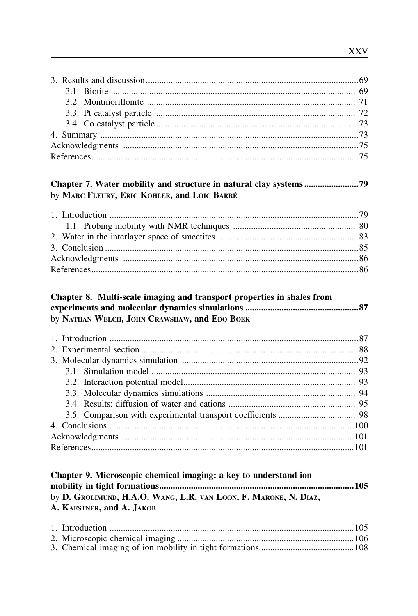# by MARC FLEURY, ERIC KOHLER, and LOIC BARRÉ

## Chapter 8. Multi-scale imaging and transport properties in shales from by NATHAN WELCH, JOHN CRAWSHAW, and EDO BOEK

| Chapter 9. Microscopic chemical imaging: a key to understand ion |  |
|------------------------------------------------------------------|--|
|                                                                  |  |
| by D. GROLIMUND, H.A.O. WANG, L.R. VAN LOON, F. MARONE, N. DIAZ, |  |
| A. KAESTNER. and A. JAKOB                                        |  |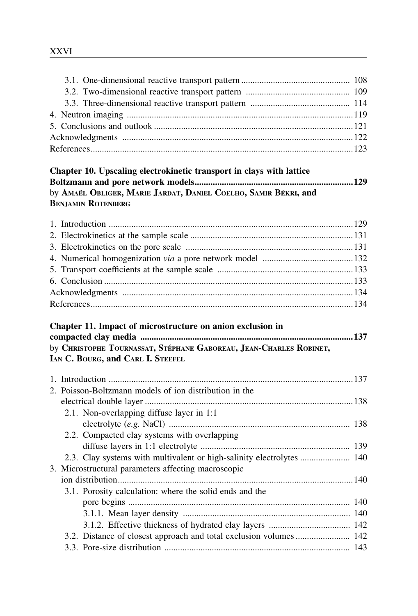| Chapter 10. Upscaling electrokinetic transport in clays with lattice |  |
|----------------------------------------------------------------------|--|
|                                                                      |  |
| by Amaël Obliger, Marie Jardat, Daniel Coelho, Samir Békri, and      |  |
| <b>BENJAMIN ROTENBERG</b>                                            |  |

| Chapter 11. Impact of microstructure on anion exclusion in         |  |
|--------------------------------------------------------------------|--|
|                                                                    |  |
| by CHRISTOPHE TOURNASSAT, STÉPHANE GABOREAU, JEAN-CHARLES ROBINET, |  |
| IAN C. BOURG, and CARL I. STEEFEL                                  |  |

| 2. Poisson-Boltzmann models of ion distribution in the  |  |
|---------------------------------------------------------|--|
|                                                         |  |
| 2.1. Non-overlapping diffuse layer in 1:1               |  |
|                                                         |  |
| 2.2. Compacted clay systems with overlapping            |  |
|                                                         |  |
|                                                         |  |
| 3. Microstructural parameters affecting macroscopic     |  |
|                                                         |  |
| 3.1. Porosity calculation: where the solid ends and the |  |
|                                                         |  |
|                                                         |  |
|                                                         |  |
|                                                         |  |
|                                                         |  |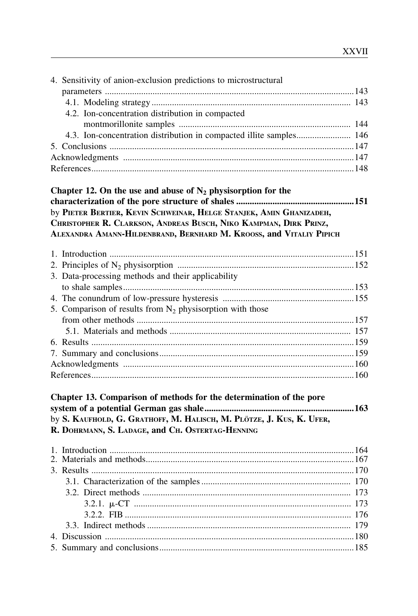| 4. Sensitivity of anion-exclusion predictions to microstructural                                                                                                                                                |  |
|-----------------------------------------------------------------------------------------------------------------------------------------------------------------------------------------------------------------|--|
|                                                                                                                                                                                                                 |  |
|                                                                                                                                                                                                                 |  |
| 4.2. Ion-concentration distribution in compacted                                                                                                                                                                |  |
|                                                                                                                                                                                                                 |  |
| 4.3. Ion-concentration distribution in compacted illite samples 146                                                                                                                                             |  |
|                                                                                                                                                                                                                 |  |
|                                                                                                                                                                                                                 |  |
|                                                                                                                                                                                                                 |  |
| Chapter 12. On the use and abuse of $N_2$ physisorption for the                                                                                                                                                 |  |
|                                                                                                                                                                                                                 |  |
| by PIETER BERTIER, KEVIN SCHWEINAR, HELGE STANJEK, AMIN GHANIZADEH,<br>CHRISTOPHER R. CLARKSON, ANDREAS BUSCH, NIKO KAMPMAN, DIRK PRINZ,<br>ALEXANDRA AMANN-HILDENBRAND, BERNHARD M. KROOSS, and VITALIY PIPICH |  |
|                                                                                                                                                                                                                 |  |
|                                                                                                                                                                                                                 |  |
| 3. Data-processing methods and their applicability                                                                                                                                                              |  |
|                                                                                                                                                                                                                 |  |
|                                                                                                                                                                                                                 |  |
| 5. Comparison of results from $N_2$ physisorption with those                                                                                                                                                    |  |
|                                                                                                                                                                                                                 |  |
|                                                                                                                                                                                                                 |  |
|                                                                                                                                                                                                                 |  |
|                                                                                                                                                                                                                 |  |
|                                                                                                                                                                                                                 |  |
|                                                                                                                                                                                                                 |  |
| Chapter 13. Comparison of methods for the determination of the pore                                                                                                                                             |  |
|                                                                                                                                                                                                                 |  |
| by S. KAUFHOLD, G. GRATHOFF, M. HALISCH, M. PLÖTZE, J. KUS, K. UFER,<br>R. DOHRMANN, S. LADAGE, and CH. OSTERTAG-HENNING                                                                                        |  |
|                                                                                                                                                                                                                 |  |
|                                                                                                                                                                                                                 |  |
|                                                                                                                                                                                                                 |  |
|                                                                                                                                                                                                                 |  |
|                                                                                                                                                                                                                 |  |
|                                                                                                                                                                                                                 |  |
|                                                                                                                                                                                                                 |  |
|                                                                                                                                                                                                                 |  |
|                                                                                                                                                                                                                 |  |
|                                                                                                                                                                                                                 |  |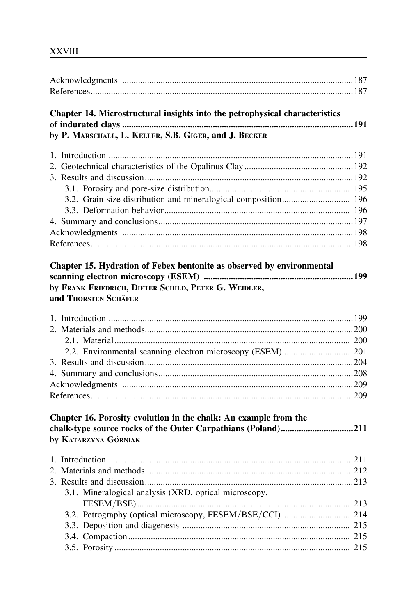| Chapter 14. Microstructural insights into the petrophysical characteristics  |  |
|------------------------------------------------------------------------------|--|
| by P. MARSCHALL, L. KELLER, S.B. GIGER, and J. BECKER                        |  |
|                                                                              |  |
|                                                                              |  |
|                                                                              |  |
|                                                                              |  |
| 3.2. Grain-size distribution and mineralogical composition 196               |  |
|                                                                              |  |
|                                                                              |  |
|                                                                              |  |
|                                                                              |  |
| Chapter 15. Hydration of Febex bentonite as observed by environmental        |  |
| by FRANK FRIEDRICH, DIETER SCHILD, PETER G. WEIDLER,<br>and THORSTEN SCHÄFER |  |
|                                                                              |  |
|                                                                              |  |
|                                                                              |  |
|                                                                              |  |
|                                                                              |  |
|                                                                              |  |
|                                                                              |  |
|                                                                              |  |
| Chapter 16. Porosity evolution in the chalk: An example from the             |  |
| by KATARZYNA GÓRNIAK                                                         |  |
|                                                                              |  |
|                                                                              |  |
|                                                                              |  |
| 3.1. Mineralogical analysis (XRD, optical microscopy,                        |  |
| 3.2. Petrography (optical microscopy, FESEM/BSE/CCI) 214                     |  |
|                                                                              |  |
|                                                                              |  |
|                                                                              |  |
|                                                                              |  |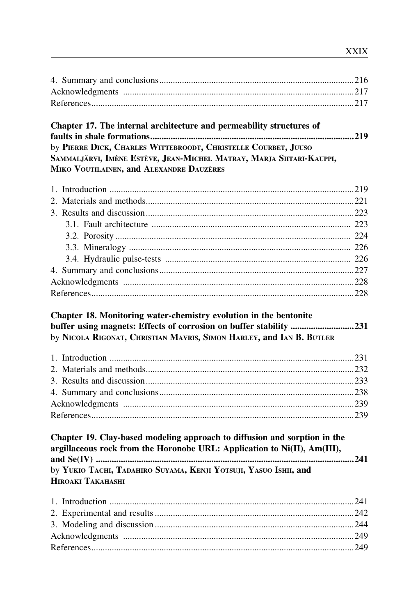| Chapter 17. The internal architecture and permeability structures of<br>by PIERRE DICK, CHARLES WITTEBROODT, CHRISTELLE COURBET, JUUSO<br>SAMMALJÄRVI, IMÈNE ESTÈVE, JEAN-MICHEL MATRAY, MARJA SIITARI-KAUPPI,<br>MIKO VOUTILAINEN, and ALEXANDRE DAUZÈRES |  |
|------------------------------------------------------------------------------------------------------------------------------------------------------------------------------------------------------------------------------------------------------------|--|
|                                                                                                                                                                                                                                                            |  |
|                                                                                                                                                                                                                                                            |  |
|                                                                                                                                                                                                                                                            |  |
|                                                                                                                                                                                                                                                            |  |
|                                                                                                                                                                                                                                                            |  |
|                                                                                                                                                                                                                                                            |  |
|                                                                                                                                                                                                                                                            |  |
|                                                                                                                                                                                                                                                            |  |
|                                                                                                                                                                                                                                                            |  |
|                                                                                                                                                                                                                                                            |  |
|                                                                                                                                                                                                                                                            |  |
| Chapter 18. Monitoring water-chemistry evolution in the bentonite<br>buffer using magnets: Effects of corrosion on buffer stability 231<br>by NICOLA RIGONAT, CHRISTIAN MAVRIS, SIMON HARLEY, and IAN B. BUTLER                                            |  |
|                                                                                                                                                                                                                                                            |  |
|                                                                                                                                                                                                                                                            |  |
|                                                                                                                                                                                                                                                            |  |
|                                                                                                                                                                                                                                                            |  |
|                                                                                                                                                                                                                                                            |  |
|                                                                                                                                                                                                                                                            |  |
| Chapter 19. Clay-based modeling approach to diffusion and sorption in the<br>argillaceous rock from the Horonobe URL: Application to Ni(II), Am(III),<br>by YUKIO TACHI, TADAHIRO SUYAMA, KENJI YOTSUJI, YASUO ISHII, and<br><b>HIROAKI TAKAHASHI</b>      |  |
|                                                                                                                                                                                                                                                            |  |
|                                                                                                                                                                                                                                                            |  |